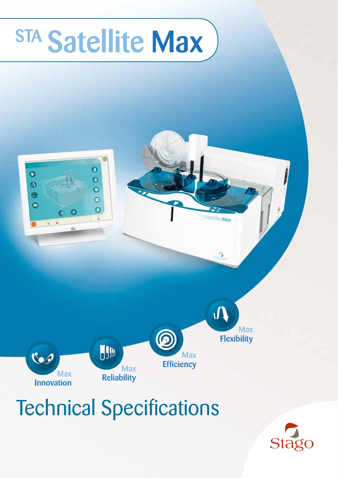# STA Satellite Max



## Technical Specifications